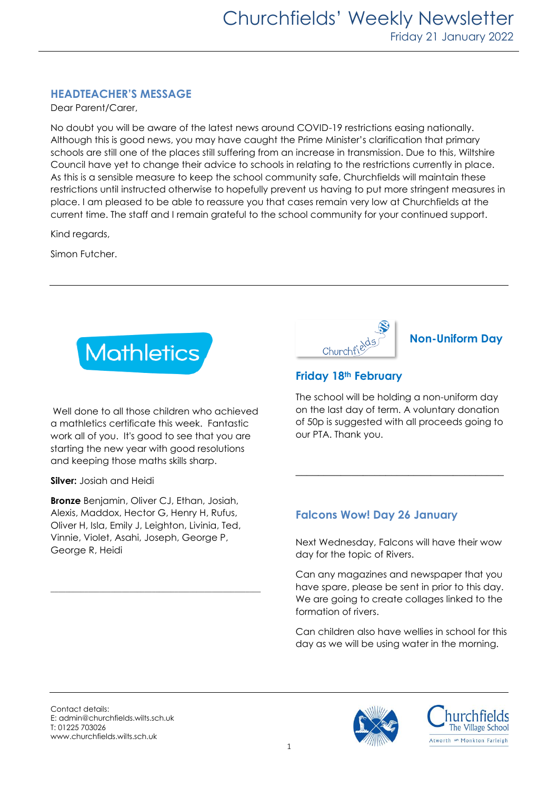# **HEADTEACHER'S MESSAGE**

Dear Parent/Carer,

No doubt you will be aware of the latest news around COVID-19 restrictions easing nationally. Although this is good news, you may have caught the Prime Minister's clarification that primary schools are still one of the places still suffering from an increase in transmission. Due to this, Wiltshire Council have yet to change their advice to schools in relating to the restrictions currently in place. As this is a sensible measure to keep the school community safe, Churchfields will maintain these restrictions until instructed otherwise to hopefully prevent us having to put more stringent measures in place. I am pleased to be able to reassure you that cases remain very low at Churchfields at the current time. The staff and I remain grateful to the school community for your continued support.

Kind regards,

Simon Futcher.



Well done to all those children who achieved a mathletics certificate this week. Fantastic work all of you. It's good to see that you are starting the new year with good resolutions and keeping those maths skills sharp.

**Silver:** Josiah and Heidi

**Bronze** Benjamin, Oliver CJ, Ethan, Josiah, Alexis, Maddox, Hector G, Henry H, Rufus, Oliver H, Isla, Emily J, Leighton, Livinia, Ted, Vinnie, Violet, Asahi, Joseph, George P, George R, Heidi

\_\_\_\_\_\_\_\_\_\_\_\_\_\_\_\_\_\_\_\_\_\_\_\_\_\_\_\_\_\_\_\_\_\_\_\_\_\_\_\_\_\_\_\_\_\_\_\_\_\_\_\_\_\_\_\_

| $\Delta$<br>Churchfi <sup>e</sup> |
|-----------------------------------|
|                                   |

# **Non-Uniform Day**

# **Friday 18th February**

The school will be holding a non-uniform day on the last day of term. A voluntary donation of 50p is suggested with all proceeds going to our PTA. Thank you.

**\_\_\_\_\_\_\_\_\_\_\_\_\_\_\_\_\_\_\_\_\_\_\_\_\_\_\_\_\_\_\_\_\_\_\_\_\_**

# **Falcons Wow! Day 26 January**

Next Wednesday, Falcons will have their wow day for the topic of Rivers.

Can any magazines and newspaper that you have spare, please be sent in prior to this day. We are going to create collages linked to the formation of rivers.

Can children also have wellies in school for this day as we will be using water in the morning.

Contact details: E: admin@churchfields.wilts.sch.uk T: 01225 703026 www.churchfields.wilts.sch.uk



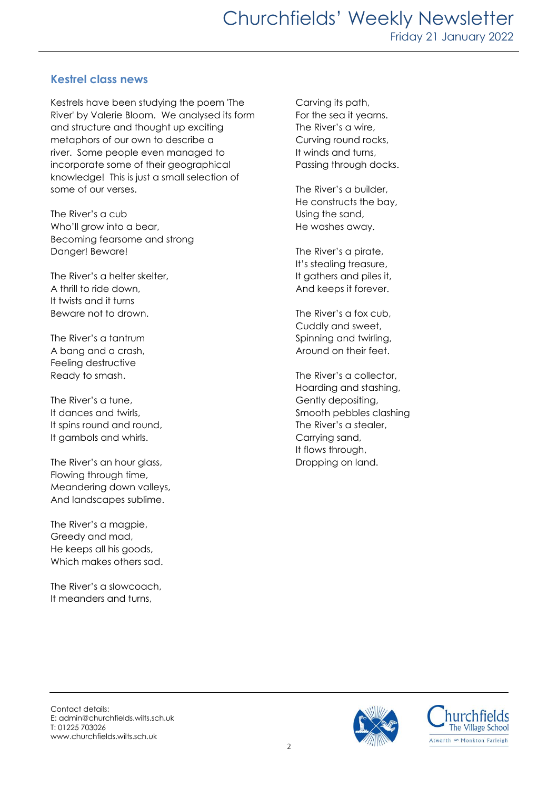# **Kestrel class news**

Kestrels have been studying the poem 'The River' by Valerie Bloom. We analysed its form and structure and thought up exciting metaphors of our own to describe a river. Some people even managed to incorporate some of their geographical knowledge! This is just a small selection of some of our verses.

The River's a cub Who'll grow into a bear, Becoming fearsome and strong Danger! Beware!

The River's a helter skelter, A thrill to ride down, It twists and it turns Beware not to drown.

The River's a tantrum A bang and a crash, Feeling destructive Ready to smash.

The River's a tune, It dances and twirls, It spins round and round, It gambols and whirls.

The River's an hour glass, Flowing through time, Meandering down valleys, And landscapes sublime.

The River's a magpie, Greedy and mad, He keeps all his goods, Which makes others sad.

The River's a slowcoach, It meanders and turns,

Carving its path, For the sea it yearns. The River's a wire, Curving round rocks, It winds and turns, Passing through docks.

The River's a builder, He constructs the bay, Using the sand, He washes away.

The River's a pirate, It's stealing treasure, It gathers and piles it, And keeps it forever.

The River's a fox cub, Cuddly and sweet, Spinning and twirling, Around on their feet.

The River's a collector, Hoarding and stashing, Gently depositing, Smooth pebbles clashing The River's a stealer, Carrying sand, It flows through, Dropping on land.